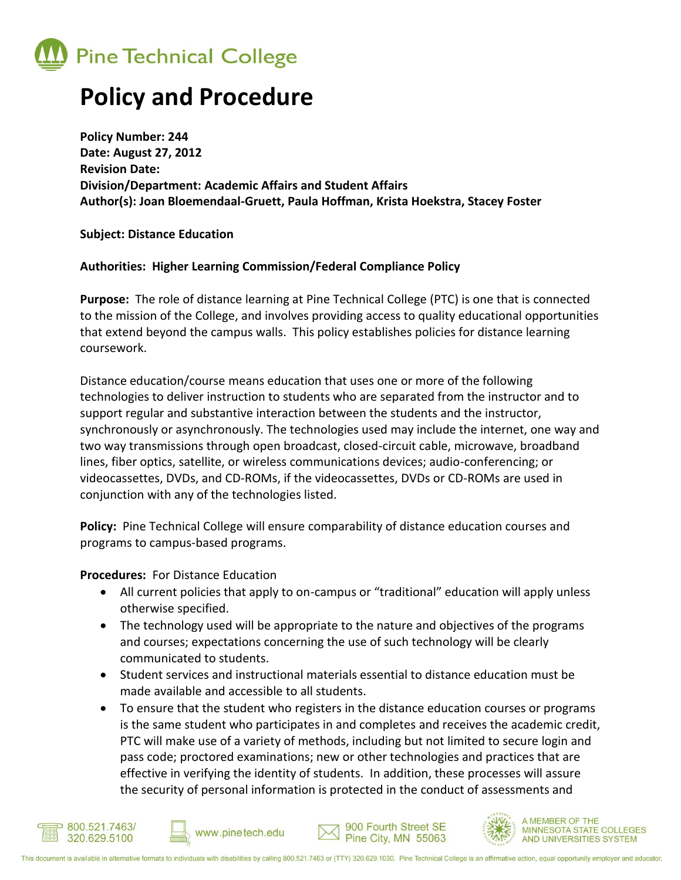

## **Policy and Procedure**

**Policy Number: 244 Date: August 27, 2012 Revision Date: Division/Department: Academic Affairs and Student Affairs Author(s): Joan Bloemendaal-Gruett, Paula Hoffman, Krista Hoekstra, Stacey Foster**

**Subject: Distance Education**

## **Authorities: Higher Learning Commission/Federal Compliance Policy**

**Purpose:** The role of distance learning at Pine Technical College (PTC) is one that is connected to the mission of the College, and involves providing access to quality educational opportunities that extend beyond the campus walls. This policy establishes policies for distance learning coursework.

Distance education/course means education that uses one or more of the following technologies to deliver instruction to students who are separated from the instructor and to support regular and substantive interaction between the students and the instructor, synchronously or asynchronously. The technologies used may include the internet, one way and two way transmissions through open broadcast, closed-circuit cable, microwave, broadband lines, fiber optics, satellite, or wireless communications devices; audio-conferencing; or videocassettes, DVDs, and CD-ROMs, if the videocassettes, DVDs or CD-ROMs are used in conjunction with any of the technologies listed.

**Policy:** Pine Technical College will ensure comparability of distance education courses and programs to campus-based programs.

**Procedures:** For Distance Education

- All current policies that apply to on-campus or "traditional" education will apply unless otherwise specified.
- The technology used will be appropriate to the nature and objectives of the programs and courses; expectations concerning the use of such technology will be clearly communicated to students.
- Student services and instructional materials essential to distance education must be made available and accessible to all students.
- To ensure that the student who registers in the distance education courses or programs is the same student who participates in and completes and receives the academic credit, PTC will make use of a variety of methods, including but not limited to secure login and pass code; proctored examinations; new or other technologies and practices that are effective in verifying the identity of students. In addition, these processes will assure the security of personal information is protected in the conduct of assessments and

900 Fourth Street SE

Pine City, MN 55063

**MEMBER OF THE** 

**MINNESOTA STATE COLLEGES** 

AND UNIVERSITIES SYSTEM





www.pinetech.edu